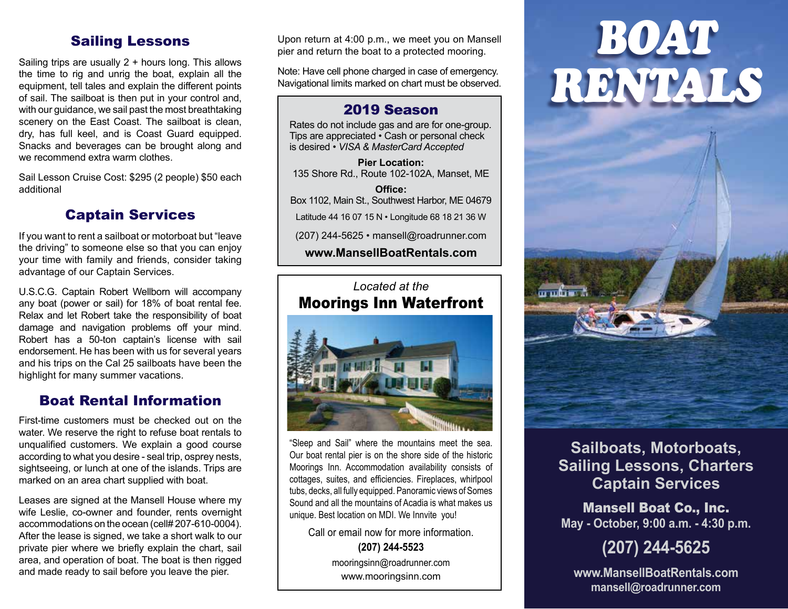## Sailing Lessons

Sailing trips are usually 2 + hours long. This allows the time to rig and unrig the boat, explain all the equipment, tell tales and explain the different points of sail. The sailboat is then put in your control and, with our guidance, we sail past the most breathtaking scenery on the East Coast. The sailboat is clean, dry, has full keel, and is Coast Guard equipped. Snacks and beverages can be brought along and we recommend extra warm clothes.

Sail Lesson Cruise Cost: \$295 (2 people) \$50 each additional

## Captain Services

If you want to rent a sailboat or motorboat but "leave the driving" to someone else so that you can enjoy your time with family and friends, consider taking advantage of our Captain Services.

U.S.C.G. Captain Robert Wellborn will accompany any boat (power or sail) for 18% of boat rental fee. Relax and let Robert take the responsibility of boat damage and navigation problems off your mind. Robert has a 50-ton captain's license with sail endorsement. He has been with us for several years and his trips on the Cal 25 sailboats have been the highlight for many summer vacations.

## Boat Rental Information

First-time customers must be checked out on the water. We reserve the right to refuse boat rentals to unqualified customers. We explain a good course according to what you desire - seal trip, osprey nests, sightseeing, or lunch at one of the islands. Trips are marked on an area chart supplied with boat.

Leases are signed at the Mansell House where my wife Leslie, co-owner and founder, rents overnight accommodations on the ocean (cell# 207-610-0004). After the lease is signed, we take a short walk to our private pier where we briefly explain the chart, sail area, and operation of boat. The boat is then rigged and made ready to sail before you leave the pier.

Upon return at 4:00 p.m., we meet you on Mansell pier and return the boat to a protected mooring.

Note: Have cell phone charged in case of emergency. Navigational limits marked on chart must be observed.

#### 2019 Season

Rates do not include gas and are for one-group. Tips are appreciated • Cash or personal check is desired • *VISA & MasterCard Accepted*

**Pier Location:** 135 Shore Rd., Route 102-102A, Manset, ME

**Office:** Box 1102, Main St., Southwest Harbor, ME 04679 Latitude 44 16 07 15 N • Longitude 68 18 21 36 W (207) 244-5625 • mansell@roadrunner.com

**www.MansellBoatRentals.com**

## *Located at the* Moorings Inn Waterfront



"Sleep and Sail" where the mountains meet the sea. Our boat rental pier is on the shore side of the historic Moorings Inn. Accommodation availability consists of cottages, suites, and efficiencies. Fireplaces, whirlpool tubs, decks, all fully equipped. Panoramic views of Somes Sound and all the mountains of Acadia is what makes us unique. Best location on MDI. We Innvite you!

Call or email now for more information. **(207) 244-5523** mooringsinn@roadrunner.com www.mooringsinn.com



## **Sailboats, Motorboats, Sailing Lessons, Charters Captain Services**

Mansell Boat Co., Inc. **May - October, 9:00 a.m. - 4:30 p.m.**

# **(207) 244-5625**

**www.MansellBoatRentals.com mansell@roadrunner.com**